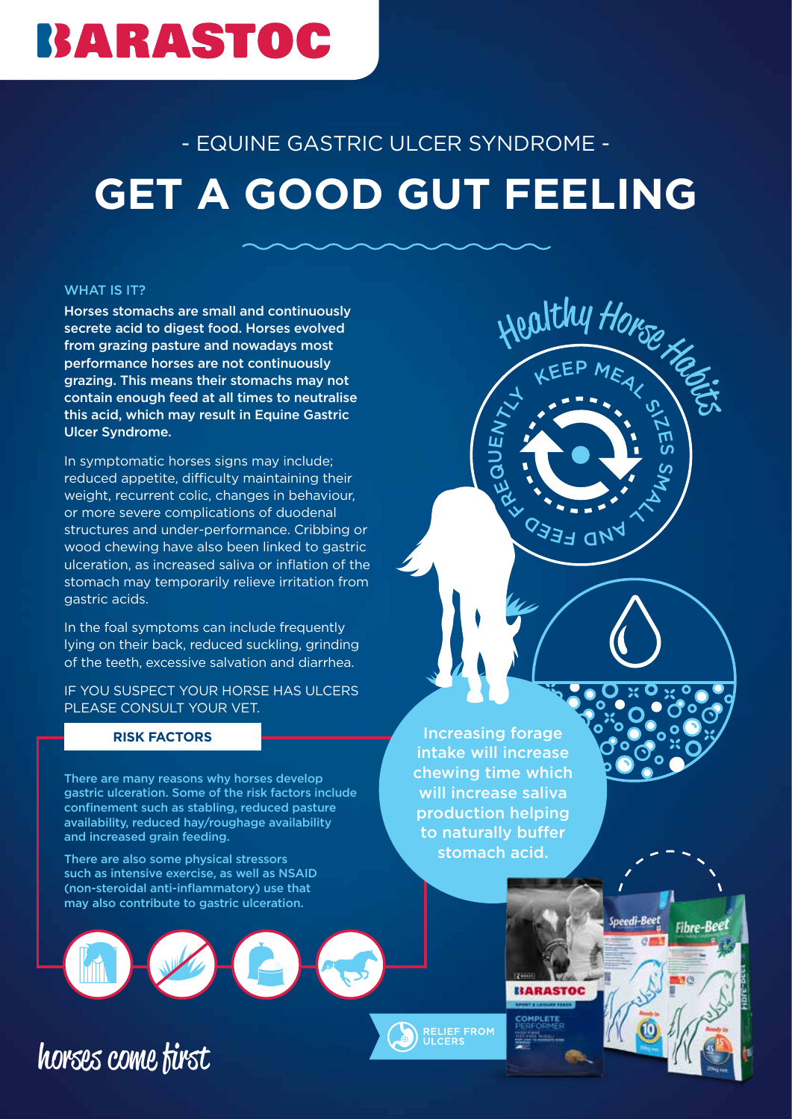## BARASTOC

### - EQUINE GASTRIC ULCER SYNDROME -

# **GET A GOOD GUT FEELING**

#### WHAT IS IT?

Horses stomachs are small and continuously secrete acid to digest food. Horses evolved from grazing pasture and nowadays most performance horses are not continuously grazing. This means their stomachs may not contain enough feed at all times to neutralise this acid, which may result in Equine Gastric Ulcer Syndrome.

In symptomatic horses signs may include; reduced appetite, difficulty maintaining their weight, recurrent colic, changes in behaviour, or more severe complications of duodenal structures and under-performance. Cribbing or wood chewing have also been linked to gastric ulceration, as increased saliva or inflation of the stomach may temporarily relieve irritation from gastric acids.

In the foal symptoms can include frequently lying on their back, reduced suckling, grinding of the teeth, excessive salvation and diarrhea.

IF YOU SUSPECT YOUR HORSE HAS ULCERS PLEASE CONSULT YOUR VET.

#### **RISK FACTORS**

horses come first

There are many reasons why horses develop gastric ulceration. Some of the risk factors include confinement such as stabling, reduced pasture availability, reduced hay/roughage availability and increased grain feeding.

There are also some physical stressors such as intensive exercise, as well as NSAID (non-steroidal anti-inflammatory) use that may also contribute to gastric ulceration.

Increasing forage intake will increase chewing time which will increase saliva production helping to naturally buffer stomach acid.

 $\mathbf{\mathop{D}}$ ய

 $\begin{matrix} 2\sqrt{1} & 1\ 1 & 1 & 1\end{matrix}$ 



Healthy Honse

KEEP MEAL

 $\blacksquare$   $\blacksquare$   $\blacksquare$   $\blacksquare$   $\blacksquare$   $\blacksquare$ 

**DO BERD CARRY COMMISSION** 

m

 $\boldsymbol{\omega}$ 

Fibre-Beet

**MALL**